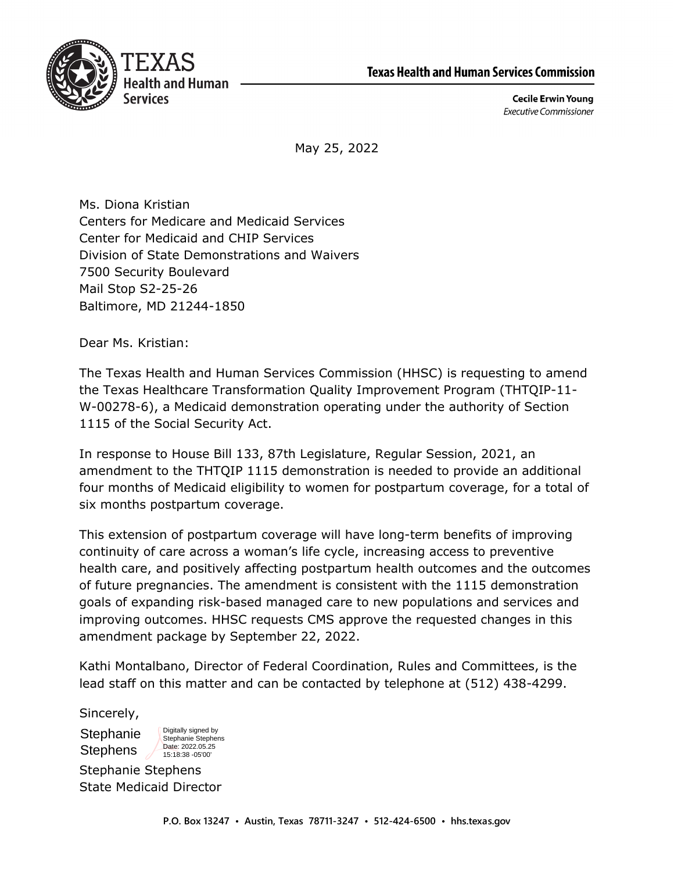



**Cecile Erwin Young Executive Commissioner** 

May 25, 2022

Ms. Diona Kristian Centers for Medicare and Medicaid Services Center for Medicaid and CHIP Services Division of State Demonstrations and Waivers 7500 Security Boulevard Mail Stop S2-25-26 Baltimore, MD 21244-1850

Dear Ms. Kristian:

The Texas Health and Human Services Commission (HHSC) is requesting to amend the Texas Healthcare Transformation Quality Improvement Program (THTQIP-11- W-00278-6), a Medicaid demonstration operating under the authority of Section 1115 of the Social Security Act.

In response to House Bill 133, 87th Legislature, Regular Session, 2021, an amendment to the THTQIP 1115 demonstration is needed to provide an additional four months of Medicaid eligibility to women for postpartum coverage, for a total of six months postpartum coverage.

This extension of postpartum coverage will have long-term benefits of improving continuity of care across a woman's life cycle, increasing access to preventive health care, and positively affecting postpartum health outcomes and the outcomes of future pregnancies. The amendment is consistent with the 1115 demonstration goals of expanding risk-based managed care to new populations and services and improving outcomes. HHSC requests CMS approve the requested changes in this amendment package by September 22, 2022.

Kathi Montalbano, Director of Federal Coordination, Rules and Committees, is the lead staff on this matter and can be contacted by telephone at (512) 438-4299.

Sincerely,

**Stephanie** Stephens

Digitally signed by Stephanie Stephens Date: 2022.05.25 15:18:38 -05'00'

Stephanie Stephens State Medicaid Director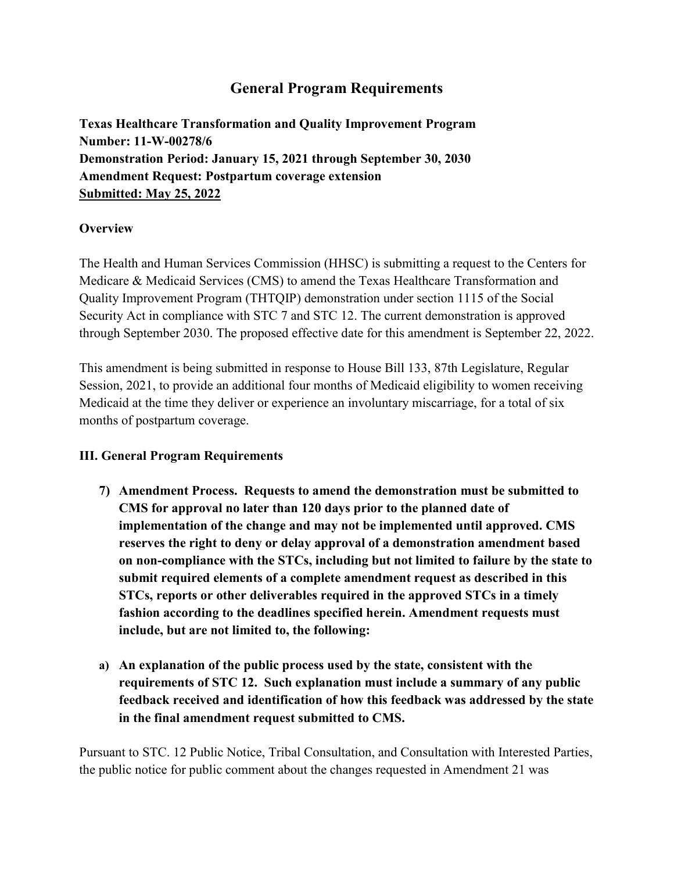# **General Program Requirements**

**Texas Healthcare Transformation and Quality Improvement Program Number: 11-W-00278/6 Demonstration Period: January 15, 2021 through September 30, 2030 Amendment Request: Postpartum coverage extension Submitted: May 25, 2022** 

# **Overview**

The Health and Human Services Commission (HHSC) is submitting a request to the Centers for Medicare & Medicaid Services (CMS) to amend the Texas Healthcare Transformation and Quality Improvement Program (THTQIP) demonstration under section 1115 of the Social Security Act in compliance with STC 7 and STC 12. The current demonstration is approved through September 2030. The proposed effective date for this amendment is September 22, 2022.

This amendment is being submitted in response to House Bill 133, 87th Legislature, Regular Session, 2021, to provide an additional four months of Medicaid eligibility to women receiving Medicaid at the time they deliver or experience an involuntary miscarriage, for a total of six months of postpartum coverage.

## **III. General Program Requirements**

- **7) Amendment Process. Requests to amend the demonstration must be submitted to CMS for approval no later than 120 days prior to the planned date of implementation of the change and may not be implemented until approved. CMS reserves the right to deny or delay approval of a demonstration amendment based on non-compliance with the STCs, including but not limited to failure by the state to submit required elements of a complete amendment request as described in this STCs, reports or other deliverables required in the approved STCs in a timely fashion according to the deadlines specified herein. Amendment requests must include, but are not limited to, the following:**
- **a) An explanation of the public process used by the state, consistent with the requirements of STC 12. Such explanation must include a summary of any public feedback received and identification of how this feedback was addressed by the state in the final amendment request submitted to CMS.**

Pursuant to STC. 12 Public Notice, Tribal Consultation, and Consultation with Interested Parties, the public notice for public comment about the changes requested in Amendment 21 was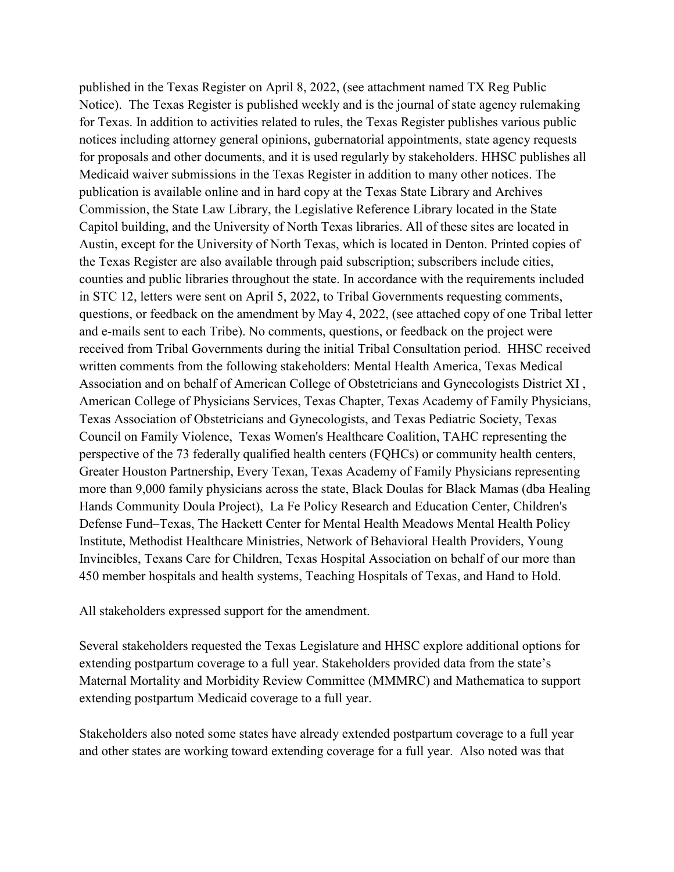published in the Texas Register on April 8, 2022, (see attachment named TX Reg Public Notice). The Texas Register is published weekly and is the journal of state agency rulemaking for Texas. In addition to activities related to rules, the Texas Register publishes various public notices including attorney general opinions, gubernatorial appointments, state agency requests for proposals and other documents, and it is used regularly by stakeholders. HHSC publishes all Medicaid waiver submissions in the Texas Register in addition to many other notices. The publication is available online and in hard copy at the Texas State Library and Archives Commission, the State Law Library, the Legislative Reference Library located in the State Capitol building, and the University of North Texas libraries. All of these sites are located in Austin, except for the University of North Texas, which is located in Denton. Printed copies of the Texas Register are also available through paid subscription; subscribers include cities, counties and public libraries throughout the state. In accordance with the requirements included in STC 12, letters were sent on April 5, 2022, to Tribal Governments requesting comments, questions, or feedback on the amendment by May 4, 2022, (see attached copy of one Tribal letter and e-mails sent to each Tribe). No comments, questions, or feedback on the project were received from Tribal Governments during the initial Tribal Consultation period. HHSC received written comments from the following stakeholders: Mental Health America, Texas Medical Association and on behalf of American College of Obstetricians and Gynecologists District XI , American College of Physicians Services, Texas Chapter, Texas Academy of Family Physicians, Texas Association of Obstetricians and Gynecologists, and Texas Pediatric Society, Texas Council on Family Violence, Texas Women's Healthcare Coalition, TAHC representing the perspective of the 73 federally qualified health centers (FQHCs) or community health centers, Greater Houston Partnership, Every Texan, Texas Academy of Family Physicians representing more than 9,000 family physicians across the state, Black Doulas for Black Mamas (dba Healing Hands Community Doula Project), La Fe Policy Research and Education Center, Children's Defense Fund–Texas, The Hackett Center for Mental Health Meadows Mental Health Policy Institute, Methodist Healthcare Ministries, Network of Behavioral Health Providers, Young Invincibles, Texans Care for Children, Texas Hospital Association on behalf of our more than 450 member hospitals and health systems, Teaching Hospitals of Texas, and Hand to Hold.

All stakeholders expressed support for the amendment.

Several stakeholders requested the Texas Legislature and HHSC explore additional options for extending postpartum coverage to a full year. Stakeholders provided data from the state's Maternal Mortality and Morbidity Review Committee (MMMRC) and Mathematica to support extending postpartum Medicaid coverage to a full year.

Stakeholders also noted some states have already extended postpartum coverage to a full year and other states are working toward extending coverage for a full year. Also noted was that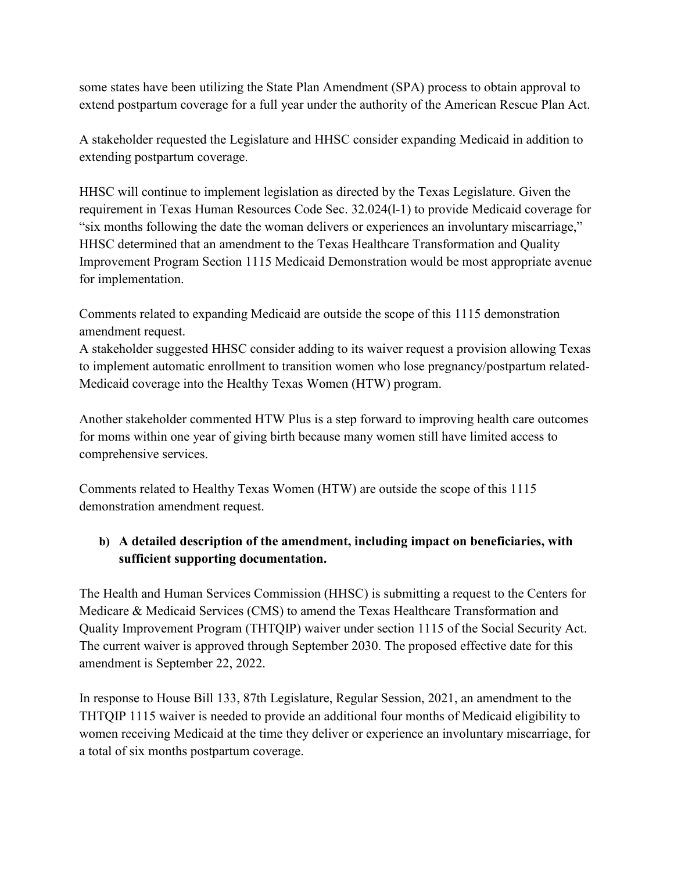some states have been utilizing the State Plan Amendment (SPA) process to obtain approval to extend postpartum coverage for a full year under the authority of the American Rescue Plan Act.

A stakeholder requested the Legislature and HHSC consider expanding Medicaid in addition to extending postpartum coverage.

HHSC will continue to implement legislation as directed by the Texas Legislature. Given the requirement in Texas Human Resources Code Sec. 32.024(l-1) to provide Medicaid coverage for "six months following the date the woman delivers or experiences an involuntary miscarriage," HHSC determined that an amendment to the Texas Healthcare Transformation and Quality Improvement Program Section 1115 Medicaid Demonstration would be most appropriate avenue for implementation.

Comments related to expanding Medicaid are outside the scope of this 1115 demonstration amendment request.

A stakeholder suggested HHSC consider adding to its waiver request a provision allowing Texas to implement automatic enrollment to transition women who lose pregnancy/postpartum related-Medicaid coverage into the Healthy Texas Women (HTW) program.

Another stakeholder commented HTW Plus is a step forward to improving health care outcomes for moms within one year of giving birth because many women still have limited access to comprehensive services.

Comments related to Healthy Texas Women (HTW) are outside the scope of this 1115 demonstration amendment request.

# **b) A detailed description of the amendment, including impact on beneficiaries, with sufficient supporting documentation.**

The Health and Human Services Commission (HHSC) is submitting a request to the Centers for Medicare & Medicaid Services (CMS) to amend the Texas Healthcare Transformation and Quality Improvement Program (THTQIP) waiver under section 1115 of the Social Security Act. The current waiver is approved through September 2030. The proposed effective date for this amendment is September 22, 2022.

In response to House Bill 133, 87th Legislature, Regular Session, 2021, an amendment to the THTQIP 1115 waiver is needed to provide an additional four months of Medicaid eligibility to women receiving Medicaid at the time they deliver or experience an involuntary miscarriage, for a total of six months postpartum coverage.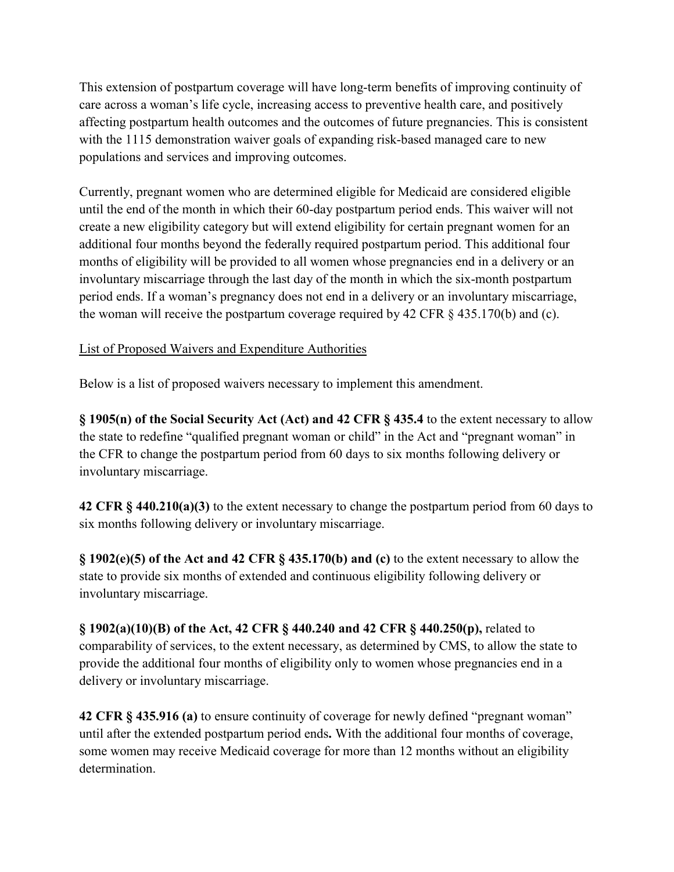This extension of postpartum coverage will have long-term benefits of improving continuity of care across a woman's life cycle, increasing access to preventive health care, and positively affecting postpartum health outcomes and the outcomes of future pregnancies. This is consistent with the 1115 demonstration waiver goals of expanding risk-based managed care to new populations and services and improving outcomes.

Currently, pregnant women who are determined eligible for Medicaid are considered eligible until the end of the month in which their 60-day postpartum period ends. This waiver will not create a new eligibility category but will extend eligibility for certain pregnant women for an additional four months beyond the federally required postpartum period. This additional four months of eligibility will be provided to all women whose pregnancies end in a delivery or an involuntary miscarriage through the last day of the month in which the six-month postpartum period ends. If a woman's pregnancy does not end in a delivery or an involuntary miscarriage, the woman will receive the postpartum coverage required by 42 CFR § 435.170(b) and (c).

# List of Proposed Waivers and Expenditure Authorities

Below is a list of proposed waivers necessary to implement this amendment.

**§ 1905(n) of the Social Security Act (Act) and 42 CFR § 435.4** to the extent necessary to allow the state to redefine "qualified pregnant woman or child" in the Act and "pregnant woman" in the CFR to change the postpartum period from 60 days to six months following delivery or involuntary miscarriage.

**42 CFR § 440.210(a)(3)** to the extent necessary to change the postpartum period from 60 days to six months following delivery or involuntary miscarriage.

**§ 1902(e)(5) of the Act and 42 CFR § 435.170(b) and (c)** to the extent necessary to allow the state to provide six months of extended and continuous eligibility following delivery or involuntary miscarriage.

**§ 1902(a)(10)(B) of the Act, 42 CFR § 440.240 and 42 CFR § 440.250(p),** related to comparability of services, to the extent necessary, as determined by CMS, to allow the state to provide the additional four months of eligibility only to women whose pregnancies end in a delivery or involuntary miscarriage.

**42 CFR § 435.916 (a)** to ensure continuity of coverage for newly defined "pregnant woman" until after the extended postpartum period ends**.** With the additional four months of coverage, some women may receive Medicaid coverage for more than 12 months without an eligibility determination.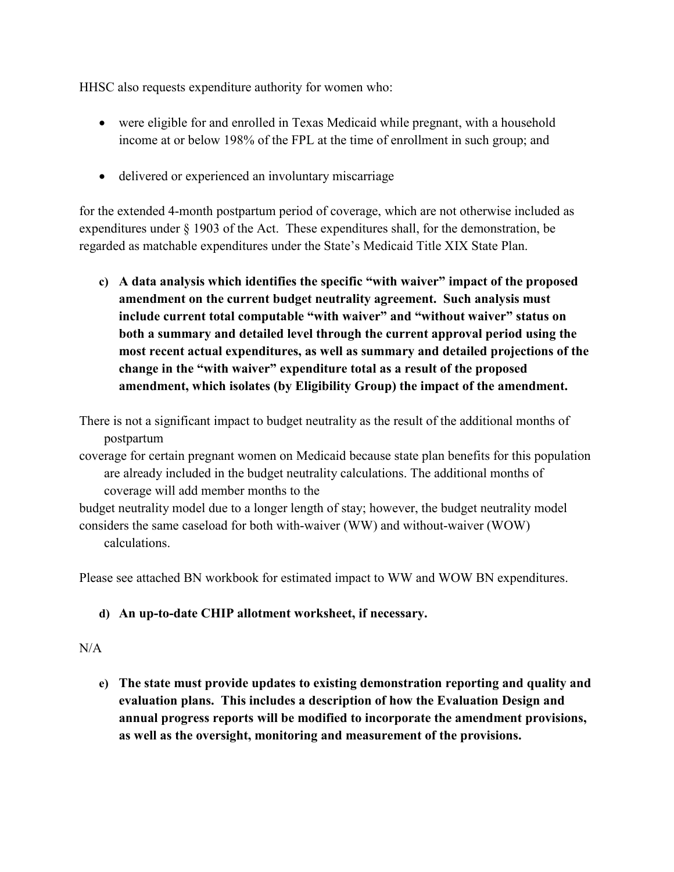HHSC also requests expenditure authority for women who:

- were eligible for and enrolled in Texas Medicaid while pregnant, with a household income at or below 198% of the FPL at the time of enrollment in such group; and
- delivered or experienced an involuntary miscarriage

for the extended 4-month postpartum period of coverage, which are not otherwise included as expenditures under § 1903 of the Act. These expenditures shall, for the demonstration, be regarded as matchable expenditures under the State's Medicaid Title XIX State Plan.

**c) A data analysis which identifies the specific "with waiver" impact of the proposed amendment on the current budget neutrality agreement. Such analysis must include current total computable "with waiver" and "without waiver" status on both a summary and detailed level through the current approval period using the most recent actual expenditures, as well as summary and detailed projections of the change in the "with waiver" expenditure total as a result of the proposed amendment, which isolates (by Eligibility Group) the impact of the amendment.**

There is not a significant impact to budget neutrality as the result of the additional months of postpartum

coverage for certain pregnant women on Medicaid because state plan benefits for this population are already included in the budget neutrality calculations. The additional months of coverage will add member months to the

budget neutrality model due to a longer length of stay; however, the budget neutrality model considers the same caseload for both with-waiver (WW) and without-waiver (WOW) calculations.

Please see attached BN workbook for estimated impact to WW and WOW BN expenditures.

# **d) An up-to-date CHIP allotment worksheet, if necessary.**

## $N/A$

**e) The state must provide updates to existing demonstration reporting and quality and evaluation plans. This includes a description of how the Evaluation Design and annual progress reports will be modified to incorporate the amendment provisions, as well as the oversight, monitoring and measurement of the provisions.**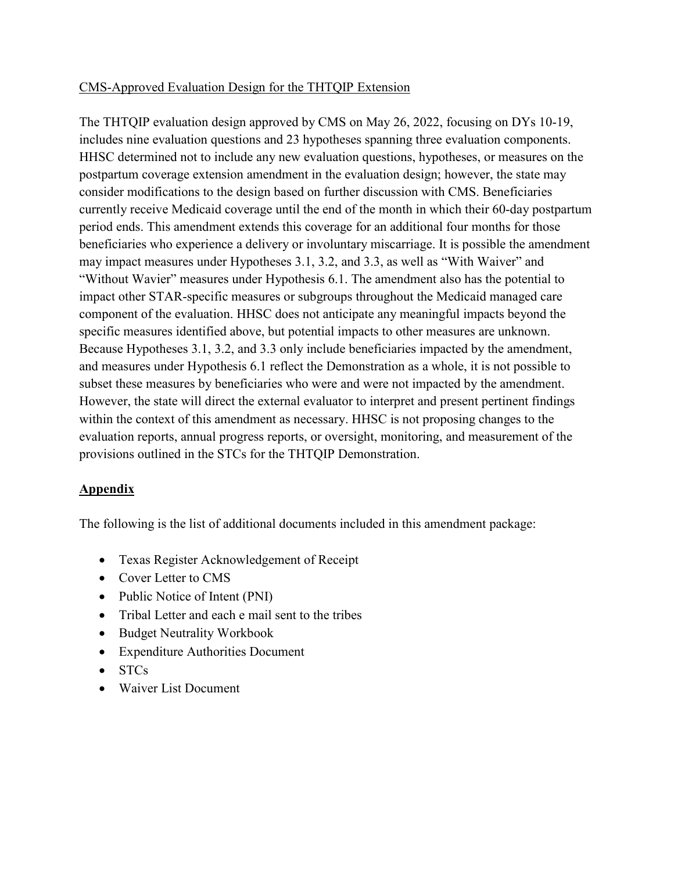## CMS-Approved Evaluation Design for the THTQIP Extension

The THTQIP evaluation design approved by CMS on May 26, 2022, focusing on DYs 10-19, includes nine evaluation questions and 23 hypotheses spanning three evaluation components. HHSC determined not to include any new evaluation questions, hypotheses, or measures on the postpartum coverage extension amendment in the evaluation design; however, the state may consider modifications to the design based on further discussion with CMS. Beneficiaries currently receive Medicaid coverage until the end of the month in which their 60-day postpartum period ends. This amendment extends this coverage for an additional four months for those beneficiaries who experience a delivery or involuntary miscarriage. It is possible the amendment may impact measures under Hypotheses 3.1, 3.2, and 3.3, as well as "With Waiver" and "Without Wavier" measures under Hypothesis 6.1. The amendment also has the potential to impact other STAR-specific measures or subgroups throughout the Medicaid managed care component of the evaluation. HHSC does not anticipate any meaningful impacts beyond the specific measures identified above, but potential impacts to other measures are unknown. Because Hypotheses 3.1, 3.2, and 3.3 only include beneficiaries impacted by the amendment, and measures under Hypothesis 6.1 reflect the Demonstration as a whole, it is not possible to subset these measures by beneficiaries who were and were not impacted by the amendment. However, the state will direct the external evaluator to interpret and present pertinent findings within the context of this amendment as necessary. HHSC is not proposing changes to the evaluation reports, annual progress reports, or oversight, monitoring, and measurement of the provisions outlined in the STCs for the THTQIP Demonstration.

## **Appendix**

The following is the list of additional documents included in this amendment package:

- Texas Register Acknowledgement of Receipt
- Cover Letter to CMS
- Public Notice of Intent (PNI)
- Tribal Letter and each e mail sent to the tribes
- Budget Neutrality Workbook
- Expenditure Authorities Document
- STCs
- Waiver List Document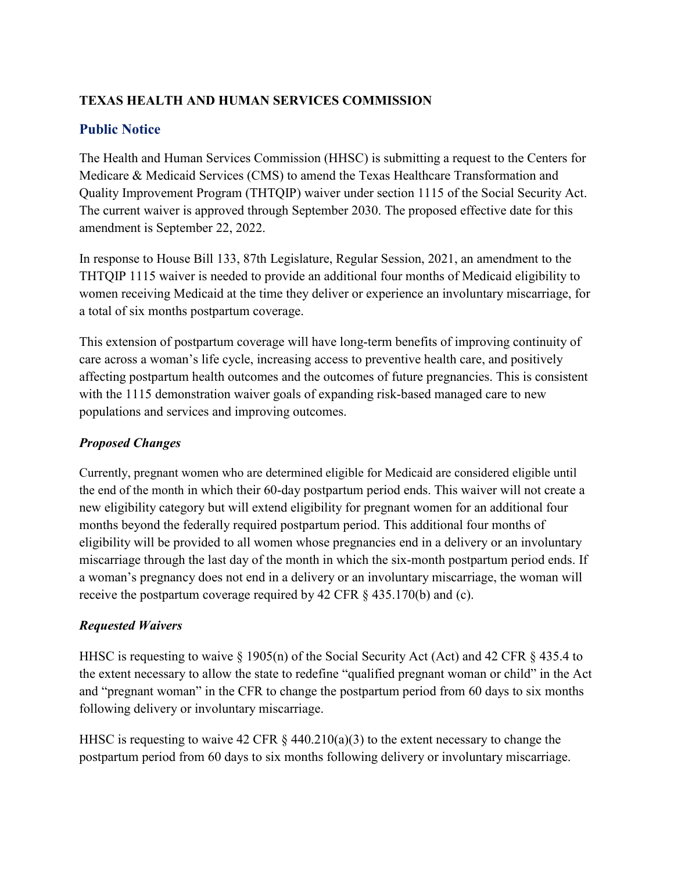# **TEXAS HEALTH AND HUMAN SERVICES COMMISSION**

# **Public Notice**

The Health and Human Services Commission (HHSC) is submitting a request to the Centers for Medicare & Medicaid Services (CMS) to amend the Texas Healthcare Transformation and Quality Improvement Program (THTQIP) waiver under section 1115 of the Social Security Act. The current waiver is approved through September 2030. The proposed effective date for this amendment is September 22, 2022.

In response to House Bill 133, 87th Legislature, Regular Session, 2021, an amendment to the THTQIP 1115 waiver is needed to provide an additional four months of Medicaid eligibility to women receiving Medicaid at the time they deliver or experience an involuntary miscarriage, for a total of six months postpartum coverage.

This extension of postpartum coverage will have long-term benefits of improving continuity of care across a woman's life cycle, increasing access to preventive health care, and positively affecting postpartum health outcomes and the outcomes of future pregnancies. This is consistent with the 1115 demonstration waiver goals of expanding risk-based managed care to new populations and services and improving outcomes.

# *Proposed Changes*

Currently, pregnant women who are determined eligible for Medicaid are considered eligible until the end of the month in which their 60-day postpartum period ends. This waiver will not create a new eligibility category but will extend eligibility for pregnant women for an additional four months beyond the federally required postpartum period. This additional four months of eligibility will be provided to all women whose pregnancies end in a delivery or an involuntary miscarriage through the last day of the month in which the six-month postpartum period ends. If a woman's pregnancy does not end in a delivery or an involuntary miscarriage, the woman will receive the postpartum coverage required by 42 CFR § 435.170(b) and (c).

# *Requested Waivers*

HHSC is requesting to waive  $\S$  1905(n) of the Social Security Act (Act) and 42 CFR  $\S$  435.4 to the extent necessary to allow the state to redefine "qualified pregnant woman or child" in the Act and "pregnant woman" in the CFR to change the postpartum period from 60 days to six months following delivery or involuntary miscarriage.

HHSC is requesting to waive 42 CFR § 440.210(a)(3) to the extent necessary to change the postpartum period from 60 days to six months following delivery or involuntary miscarriage.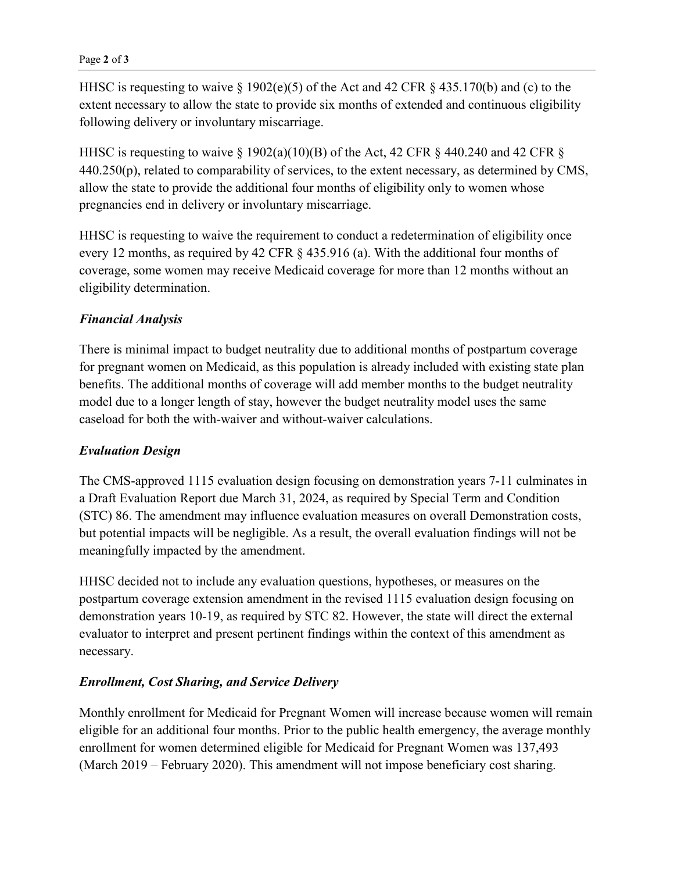HHSC is requesting to waive § 1902(e)(5) of the Act and 42 CFR § 435.170(b) and (c) to the extent necessary to allow the state to provide six months of extended and continuous eligibility following delivery or involuntary miscarriage.

HHSC is requesting to waive  $\S$  1902(a)(10)(B) of the Act, 42 CFR  $\S$  440.240 and 42 CFR  $\S$ 440.250(p), related to comparability of services, to the extent necessary, as determined by CMS, allow the state to provide the additional four months of eligibility only to women whose pregnancies end in delivery or involuntary miscarriage.

HHSC is requesting to waive the requirement to conduct a redetermination of eligibility once every 12 months, as required by 42 CFR § 435.916 (a). With the additional four months of coverage, some women may receive Medicaid coverage for more than 12 months without an eligibility determination.

# *Financial Analysis*

There is minimal impact to budget neutrality due to additional months of postpartum coverage for pregnant women on Medicaid, as this population is already included with existing state plan benefits. The additional months of coverage will add member months to the budget neutrality model due to a longer length of stay, however the budget neutrality model uses the same caseload for both the with-waiver and without-waiver calculations.

## *Evaluation Design*

The CMS-approved 1115 evaluation design focusing on demonstration years 7-11 culminates in a Draft Evaluation Report due March 31, 2024, as required by Special Term and Condition (STC) 86. The amendment may influence evaluation measures on overall Demonstration costs, but potential impacts will be negligible. As a result, the overall evaluation findings will not be meaningfully impacted by the amendment.

HHSC decided not to include any evaluation questions, hypotheses, or measures on the postpartum coverage extension amendment in the revised 1115 evaluation design focusing on demonstration years 10-19, as required by STC 82. However, the state will direct the external evaluator to interpret and present pertinent findings within the context of this amendment as necessary.

## *Enrollment, Cost Sharing, and Service Delivery*

Monthly enrollment for Medicaid for Pregnant Women will increase because women will remain eligible for an additional four months. Prior to the public health emergency, the average monthly enrollment for women determined eligible for Medicaid for Pregnant Women was 137,493 (March 2019 – February 2020). This amendment will not impose beneficiary cost sharing.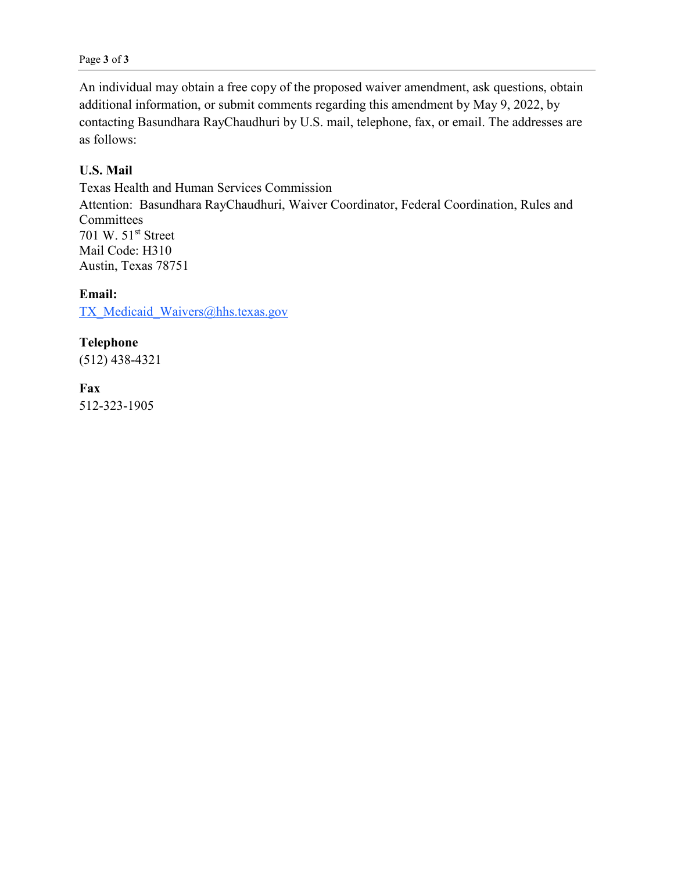An individual may obtain a free copy of the proposed waiver amendment, ask questions, obtain additional information, or submit comments regarding this amendment by May 9, 2022, by contacting Basundhara RayChaudhuri by U.S. mail, telephone, fax, or email. The addresses are as follows:

# **U.S. Mail**

Texas Health and Human Services Commission Attention: Basundhara RayChaudhuri, Waiver Coordinator, Federal Coordination, Rules and Committees 701 W. 51<sup>st</sup> Street Mail Code: H310 Austin, Texas 78751

**Email:** 

TX Medicaid Waivers@hhs.texas.gov

**Telephone** (512) 438-4321

**Fax** 512-323-1905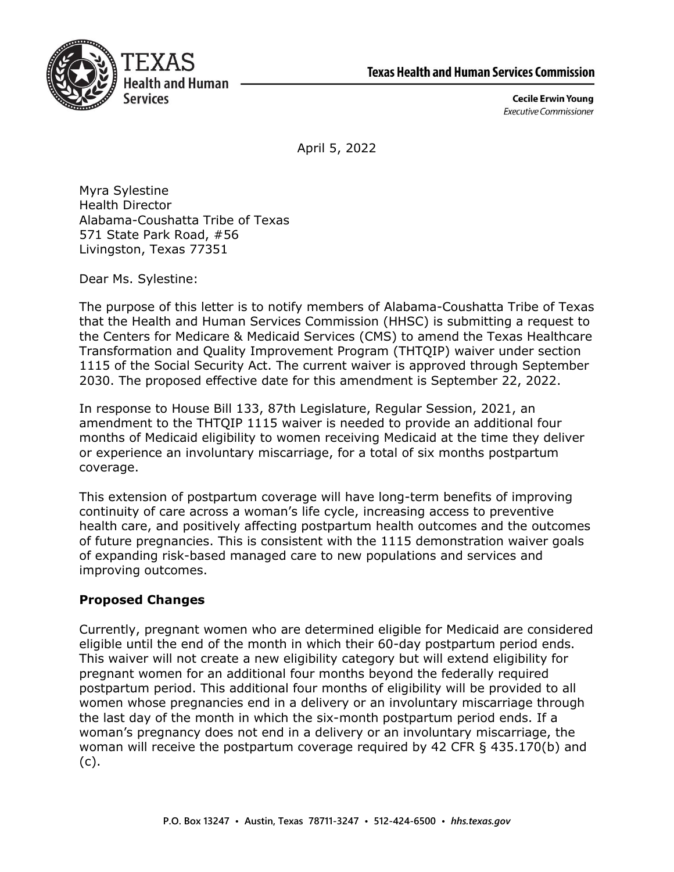



**Cecile Erwin Young Executive Commissioner** 

April 5, 2022

Myra Sylestine Health Director Alabama-Coushatta Tribe of Texas 571 State Park Road, #56 Livingston, Texas 77351

Dear Ms. Sylestine:

The purpose of this letter is to notify members of Alabama-Coushatta Tribe of Texas that the Health and Human Services Commission (HHSC) is submitting a request to the Centers for Medicare & Medicaid Services (CMS) to amend the Texas Healthcare Transformation and Quality Improvement Program (THTQIP) waiver under section 1115 of the Social Security Act. The current waiver is approved through September 2030. The proposed effective date for this amendment is September 22, 2022.

In response to House Bill 133, 87th Legislature, Regular Session, 2021, an amendment to the THTQIP 1115 waiver is needed to provide an additional four months of Medicaid eligibility to women receiving Medicaid at the time they deliver or experience an involuntary miscarriage, for a total of six months postpartum coverage.

This extension of postpartum coverage will have long-term benefits of improving continuity of care across a woman's life cycle, increasing access to preventive health care, and positively affecting postpartum health outcomes and the outcomes of future pregnancies. This is consistent with the 1115 demonstration waiver goals of expanding risk-based managed care to new populations and services and improving outcomes.

# **Proposed Changes**

Currently, pregnant women who are determined eligible for Medicaid are considered eligible until the end of the month in which their 60-day postpartum period ends. This waiver will not create a new eligibility category but will extend eligibility for pregnant women for an additional four months beyond the federally required postpartum period. This additional four months of eligibility will be provided to all women whose pregnancies end in a delivery or an involuntary miscarriage through the last day of the month in which the six-month postpartum period ends. If a woman's pregnancy does not end in a delivery or an involuntary miscarriage, the woman will receive the postpartum coverage required by 42 CFR § 435.170(b) and (c).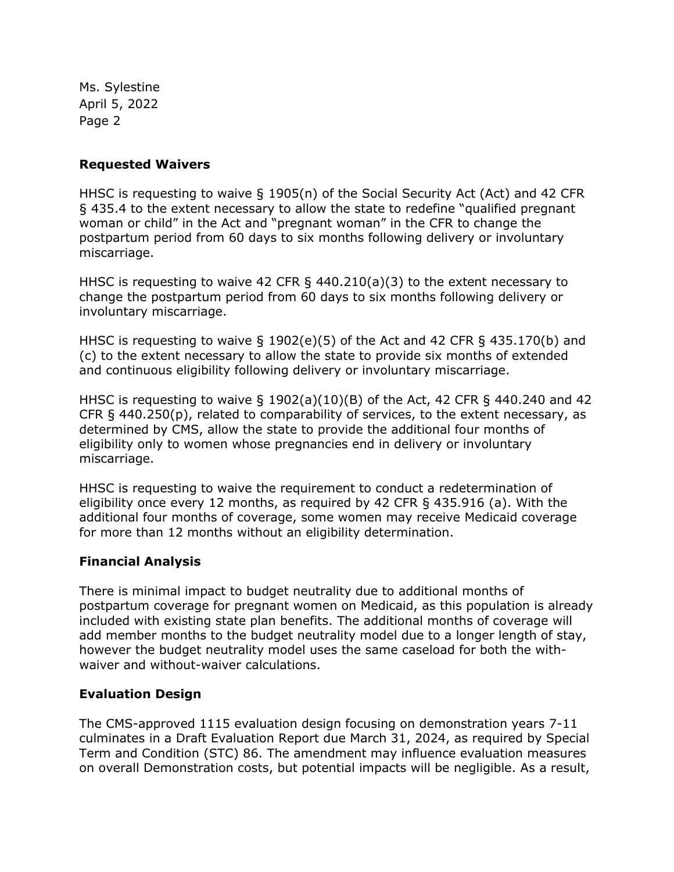Ms. Sylestine April 5, 2022 Page 2

### **Requested Waivers**

HHSC is requesting to waive § 1905(n) of the Social Security Act (Act) and 42 CFR § 435.4 to the extent necessary to allow the state to redefine "qualified pregnant woman or child" in the Act and "pregnant woman" in the CFR to change the postpartum period from 60 days to six months following delivery or involuntary miscarriage.

HHSC is requesting to waive 42 CFR § 440.210(a)(3) to the extent necessary to change the postpartum period from 60 days to six months following delivery or involuntary miscarriage.

HHSC is requesting to waive  $\S$  1902(e)(5) of the Act and 42 CFR  $\S$  435.170(b) and (c) to the extent necessary to allow the state to provide six months of extended and continuous eligibility following delivery or involuntary miscarriage.

HHSC is requesting to waive § 1902(a)(10)(B) of the Act, 42 CFR § 440.240 and 42 CFR  $\S$  440.250(p), related to comparability of services, to the extent necessary, as determined by CMS, allow the state to provide the additional four months of eligibility only to women whose pregnancies end in delivery or involuntary miscarriage.

HHSC is requesting to waive the requirement to conduct a redetermination of eligibility once every 12 months, as required by 42 CFR § 435.916 (a). With the additional four months of coverage, some women may receive Medicaid coverage for more than 12 months without an eligibility determination.

## **Financial Analysis**

There is minimal impact to budget neutrality due to additional months of postpartum coverage for pregnant women on Medicaid, as this population is already included with existing state plan benefits. The additional months of coverage will add member months to the budget neutrality model due to a longer length of stay, however the budget neutrality model uses the same caseload for both the withwaiver and without-waiver calculations.

#### **Evaluation Design**

The CMS-approved 1115 evaluation design focusing on demonstration years 7-11 culminates in a Draft Evaluation Report due March 31, 2024, as required by Special Term and Condition (STC) 86. The amendment may influence evaluation measures on overall Demonstration costs, but potential impacts will be negligible. As a result,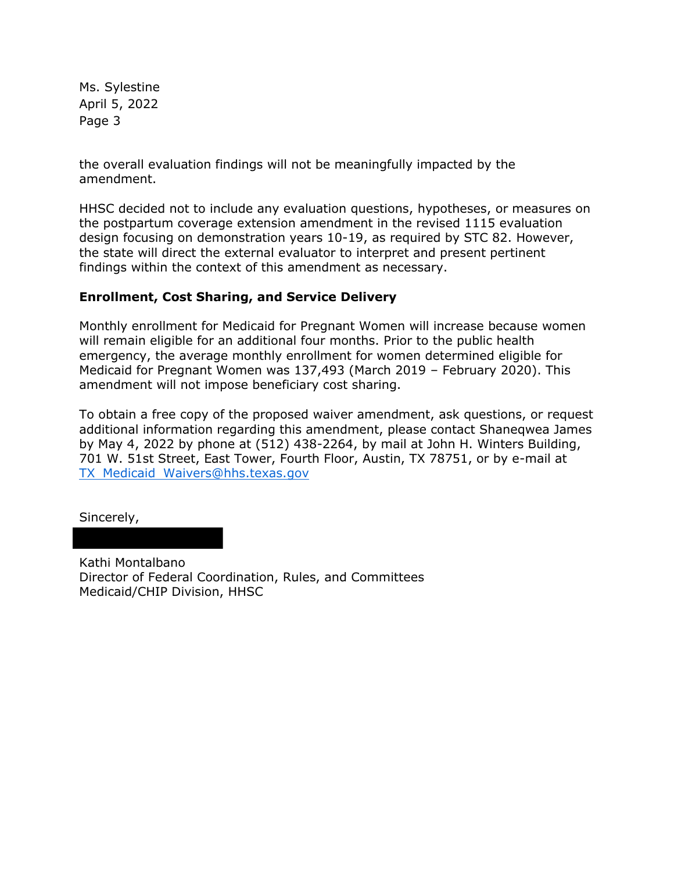Ms. Sylestine April 5, 2022 Page 3

the overall evaluation findings will not be meaningfully impacted by the amendment.

HHSC decided not to include any evaluation questions, hypotheses, or measures on the postpartum coverage extension amendment in the revised 1115 evaluation design focusing on demonstration years 10-19, as required by STC 82. However, the state will direct the external evaluator to interpret and present pertinent findings within the context of this amendment as necessary.

## **Enrollment, Cost Sharing, and Service Delivery**

Monthly enrollment for Medicaid for Pregnant Women will increase because women will remain eligible for an additional four months. Prior to the public health emergency, the average monthly enrollment for women determined eligible for Medicaid for Pregnant Women was 137,493 (March 2019 – February 2020). This amendment will not impose beneficiary cost sharing.

To obtain a free copy of the proposed waiver amendment, ask questions, or request additional information regarding this amendment, please contact Shaneqwea James by May 4, 2022 by phone at (512) 438-2264, by mail at John H. Winters Building, 701 W. 51st Street, East Tower, Fourth Floor, Austin, TX 78751, or by e-mail at TX Medicaid Waivers@hhs.texas.gov

Sincerely,

Kathi Montalbano Director of Federal Coordination, Rules, and Committees Medicaid/CHIP Division, HHSC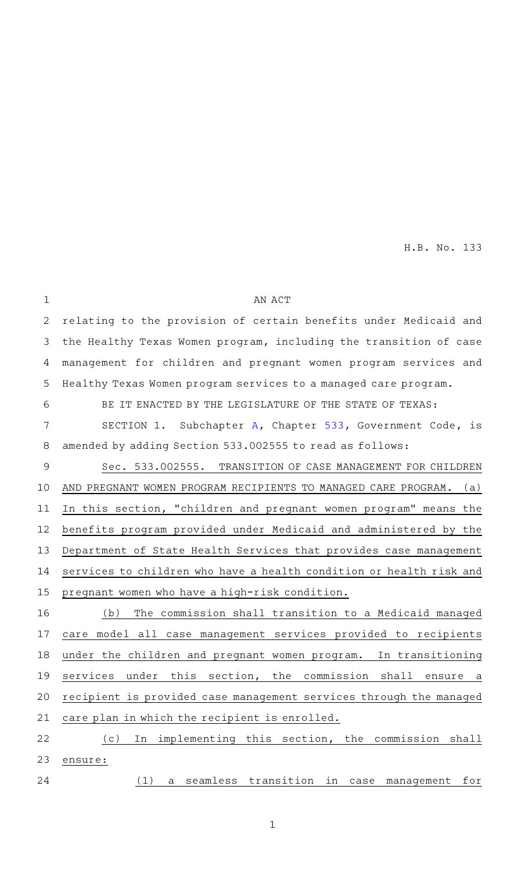| $\mathbf{1}$ | AN ACT                                                              |
|--------------|---------------------------------------------------------------------|
| 2            | relating to the provision of certain benefits under Medicaid and    |
| 3            | the Healthy Texas Women program, including the transition of case   |
| 4            | management for children and pregnant women program services and     |
| 5            | Healthy Texas Women program services to a managed care program.     |
| 6            | BE IT ENACTED BY THE LEGISLATURE OF THE STATE OF TEXAS:             |
| 7            | SECTION 1. Subchapter A, Chapter 533, Government Code, is           |
| 8            | amended by adding Section 533.002555 to read as follows:            |
| 9            | Sec. 533.002555. TRANSITION OF CASE MANAGEMENT FOR CHILDREN         |
| 10           | AND PREGNANT WOMEN PROGRAM RECIPIENTS TO MANAGED CARE PROGRAM. (a)  |
| 11           | In this section, "children and pregnant women program" means the    |
| 12           | benefits program provided under Medicaid and administered by the    |
| 13           | Department of State Health Services that provides case management   |
| 14           | services to children who have a health condition or health risk and |
| 15           | pregnant women who have a high-risk condition.                      |
| 16           | The commission shall transition to a Medicaid managed<br>(b)        |
| 17           | care model all case management services provided to recipients      |
| 18           | under the children and pregnant women program. In transitioning     |
|              | 19 services under this section, the commission shall ensure<br>a    |
| 20           | recipient is provided case management services through the managed  |
| 21           | care plan in which the recipient is enrolled.                       |
| 22           | implementing this section, the commission shall<br>(c)<br>In        |
| 23           | ensure:                                                             |
| 24           | (1)<br>seamless transition in<br>for<br>case<br>management<br>a     |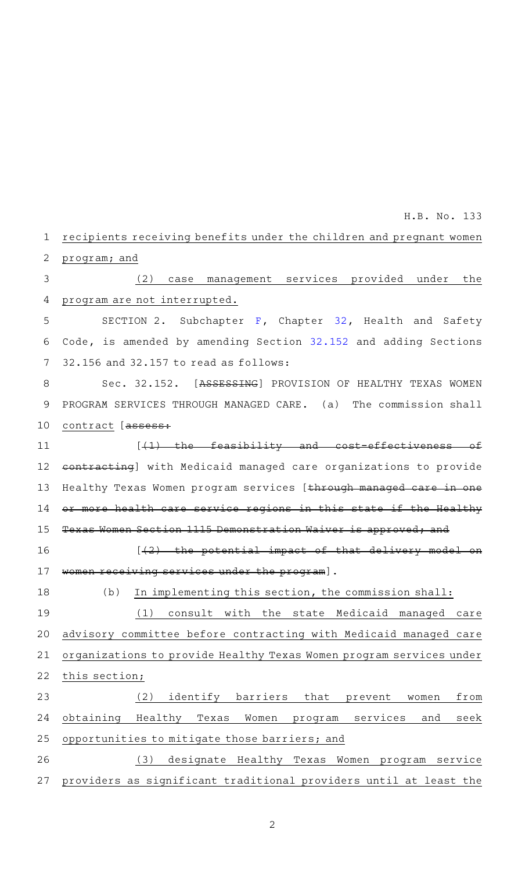#### recipients receiving benefits under the children and pregnant women program; and 1 2

#### (2) case management services provided under the program are not interrupted. 3 4

SECTION 2. Subchapter  $F$ , Chapter [32,](http://www.statutes.legis.state.tx.us/GetStatute.aspx?Code=HS&Value=32&Date=5/30/2021) Health and Safety Code, is amended by amending Section [32.152](http://www.statutes.legis.state.tx.us/GetStatute.aspx?Code=HS&Value=32.152&Date=5/30/2021) and adding Sections 32.156 and 32.157 to read as follows: 5 6 7

Sec. 32.152. [ASSESSING] PROVISION OF HEALTHY TEXAS WOMEN PROGRAM SERVICES THROUGH MANAGED CARE. (a) The commission shall contract [assess: 8 9 10

 $[4]$  the feasibility and cost-effectiveness of contracting] with Medicaid managed care organizations to provide Healthy Texas Women program services [ through managed care in one or more health care service regions in this state if the Healthy Texas Women Section 1115 Demonstration Waiver is approved; and 11 12 13 14 15

 $[42)$  the potential impact of that delivery model on ng services under the program]. 16 17

(b) In implementing this section, the commission shall: 18

(1) consult with the state Medicaid managed care advisory committee before contracting with Medicaid managed care organizations to provide Healthy Texas Women program services under this section; 19 20 21 22

(2) identify barriers that prevent women from obtaining Healthy Texas Women program services and seek opportunities to mitigate those barriers; and 23 24 25

(3) designate Healthy Texas Women program service providers as significant traditional providers until at least the 26 27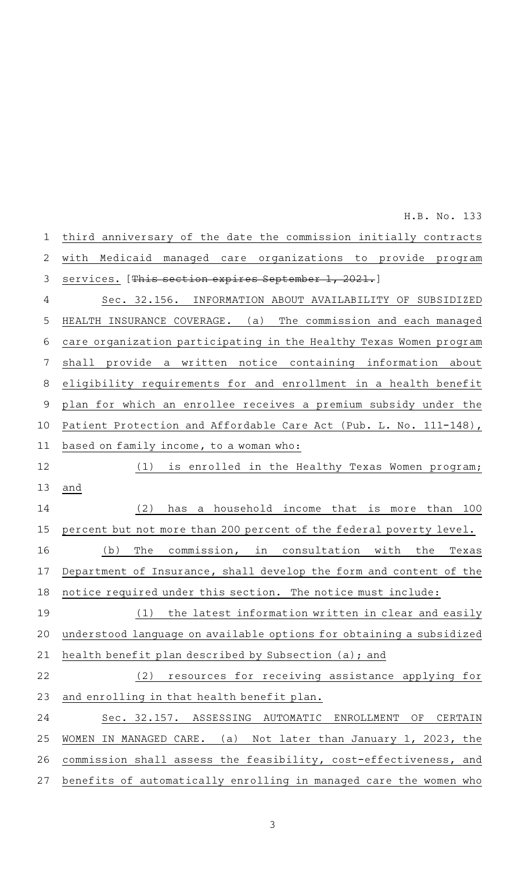third anniversary of the date the commission initially contracts with Medicaid managed care organizations to provide program services. [This section expires September 1, 2021.] Sec. 32.156. INFORMATION ABOUT AVAILABILITY OF SUBSIDIZED HEALTH INSURANCE COVERAGE. (a) The commission and each managed care organization participating in the Healthy Texas Women program shall provide a written notice containing information about eligibility requirements for and enrollment in a health benefit plan for which an enrollee receives a premium subsidy under the Patient Protection and Affordable Care Act (Pub. L. No. 111-148), based on family income, to a woman who: (1) is enrolled in the Healthy Texas Women program; and  $(2)$  has a household income that is more than 100 percent but not more than 200 percent of the federal poverty level.  $(b)$  The commission, in consultation with the Texas Department of Insurance, shall develop the form and content of the notice required under this section. The notice must include: (1) the latest information written in clear and easily understood language on available options for obtaining a subsidized health benefit plan described by Subsection (a); and (2) resources for receiving assistance applying for and enrolling in that health benefit plan. Sec. 32.157. ASSESSING AUTOMATIC ENROLLMENT OF CERTAIN WOMEN IN MANAGED CARE. (a) Not later than January 1, 2023, the commission shall assess the feasibility, cost-effectiveness, and benefits of automatically enrolling in managed care the women who 1 2 3 4 5 6 7 8 9 10 11 12 13 14 15 16 17 18 19 20 21 22 23 24 25 26 27

H.B. No. 133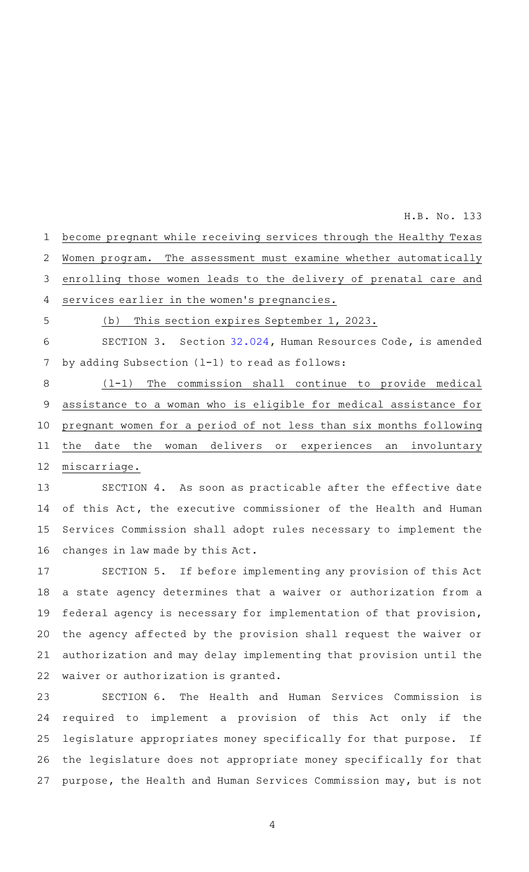| $\mathbf{1}$ | become pregnant while receiving services through the Healthy Texas |
|--------------|--------------------------------------------------------------------|
| 2            | Women program. The assessment must examine whether automatically   |
| 3            | enrolling those women leads to the delivery of prenatal care and   |
| 4            | services earlier in the women's pregnancies.                       |
| 5            | (b) This section expires September 1, 2023.                        |
| 6            | SECTION 3. Section 32.024, Human Resources Code, is amended        |
| 7            | by adding Subsection $(1-1)$ to read as follows:                   |
| 8            | $(1-1)$ The commission shall continue to provide medical           |
| 9            | assistance to a woman who is eligible for medical assistance for   |
| 10           | pregnant women for a period of not less than six months following  |
| 11           | the date the woman delivers or experiences an involuntary          |
| 12           | miscarriage.                                                       |

SECTION 4. As soon as practicable after the effective date of this Act, the executive commissioner of the Health and Human Services Commission shall adopt rules necessary to implement the changes in law made by this Act. 13 14 15 16

SECTION 5. If before implementing any provision of this Act a state agency determines that a waiver or authorization from a federal agency is necessary for implementation of that provision, the agency affected by the provision shall request the waiver or authorization and may delay implementing that provision until the waiver or authorization is granted. 17 18 19 20 21 22

SECTION 6. The Health and Human Services Commission is required to implement a provision of this Act only if the legislature appropriates money specifically for that purpose. If the legislature does not appropriate money specifically for that purpose, the Health and Human Services Commission may, but is not 23 24 25 26 27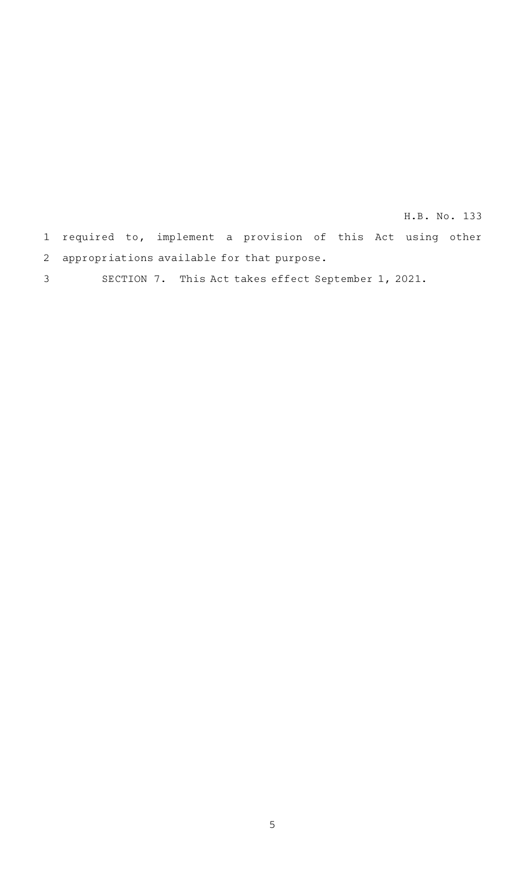1 required to, implement a provision of this Act using other 2 appropriations available for that purpose. H.B. No. 133

SECTION 7. This Act takes effect September 1, 2021. 3